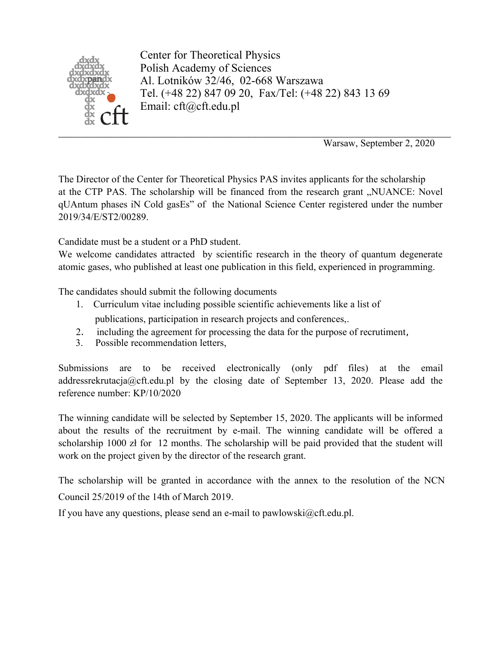

Center for Theoretical Physics Polish Academy of Sciences Al. Lotników 32/46, 02-668 Warszawa Tel. (+48 22) 847 09 20, Fax/Tel: (+48 22) 843 13 69 Email: cft@cft.edu.pl

Warsaw, September 2, 2020

The Director of the Center for Theoretical Physics PAS invites applicants for the scholarship at the CTP PAS. The scholarship will be financed from the research grant "NUANCE: Novel qUAntum phases iN Cold gasEs" of the National Science Center registered under the number 2019/34/E/ST2/00289.

Candidate must be a student or a PhD student.

We welcome candidates attracted by scientific research in the theory of quantum degenerate atomic gases, who published at least one publication in this field, experienced in programming.

The candidates should submit the following documents

- 1. Curriculum vitae including possible scientific achievements like a list of publications, participation in research projects and conferences,.
- 2. including the agreement for processing the data for the purpose of recrutiment,
- 3. Possible recommendation letters,

Submissions are to be received electronically (only pdf files) at the email addressrekrutacja@cft.edu.pl by the closing date of September 13, 2020. Please add the reference number: KP/10/2020

The winning candidate will be selected by September 15, 2020. The applicants will be informed about the results of the recruitment by e-mail. The winning candidate will be offered a scholarship 1000 zł for 12 months. The scholarship will be paid provided that the student will work on the project given by the director of the research grant.

The scholarship will be granted in accordance with the annex to the resolution of the NCN Council 25/2019 of the 14th of March 2019.

If you have any questions, please send an e-mail to pawlowski@cft.edu.pl.